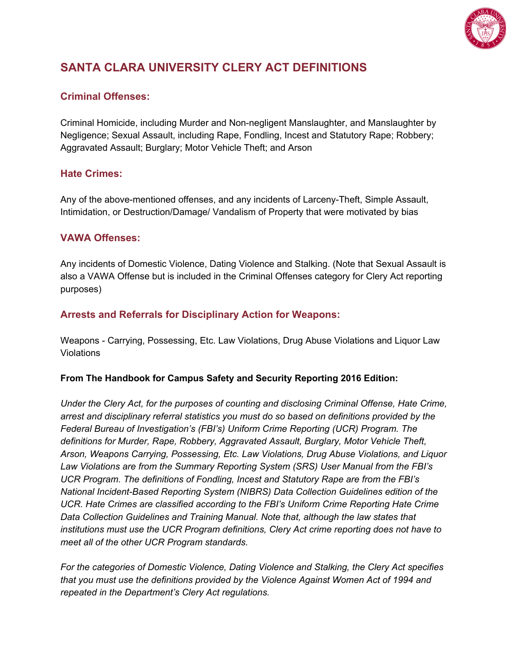

# **SANTA CLARA UNIVERSITY CLERY ACT DEFINITIONS**

## **Criminal Offenses:**

Criminal Homicide, including Murder and Non-negligent Manslaughter, and Manslaughter by Negligence; Sexual Assault, including Rape, Fondling, Incest and Statutory Rape; Robbery; Aggravated Assault; Burglary; Motor Vehicle Theft; and Arson

## **Hate Crimes:**

Any of the above-mentioned offenses, and any incidents of Larceny-Theft, Simple Assault, Intimidation, or Destruction/Damage/ Vandalism of Property that were motivated by bias

## **VAWA Offenses:**

Any incidents of Domestic Violence, Dating Violence and Stalking. (Note that Sexual Assault is also a VAWA Offense but is included in the Criminal Offenses category for Clery Act reporting purposes)

## **Arrests and Referrals for Disciplinary Action for Weapons:**

Weapons - Carrying, Possessing, Etc. Law Violations, Drug Abuse Violations and Liquor Law Violations

#### **From The Handbook for Campus Safety and Security Reporting 2016 Edition:**

*Under the Clery Act, for the purposes of counting and disclosing Criminal Offense, Hate Crime, arrest and disciplinary referral statistics you must do so based on definitions provided by the Federal Bureau of Investigation's (FBI's) Uniform Crime Reporting (UCR) Program. The definitions for Murder, Rape, Robbery, Aggravated Assault, Burglary, Motor Vehicle Theft, Arson, Weapons Carrying, Possessing, Etc. Law Violations, Drug Abuse Violations, and Liquor Law Violations are from the Summary Reporting System (SRS) User Manual from the FBI's UCR Program. The definitions of Fondling, Incest and Statutory Rape are from the FBI's National Incident-Based Reporting System (NIBRS) Data Collection Guidelines edition of the UCR. Hate Crimes are classified according to the FBI's Uniform Crime Reporting Hate Crime Data Collection Guidelines and Training Manual. Note that, although the law states that institutions must use the UCR Program definitions, Clery Act crime reporting does not have to meet all of the other UCR Program standards.*

*For the categories of Domestic Violence, Dating Violence and Stalking, the Clery Act specifies that you must use the definitions provided by the Violence Against Women Act of 1994 and repeated in the Department's Clery Act regulations.*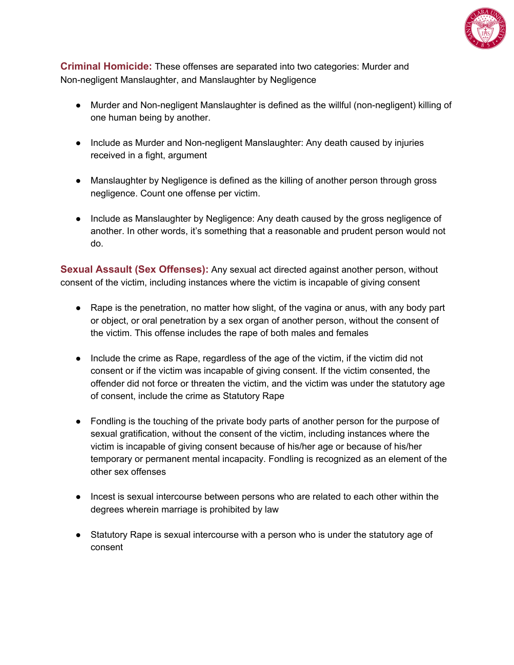

**Criminal Homicide:** These offenses are separated into two categories: Murder and Non-negligent Manslaughter, and Manslaughter by Negligence

- Murder and Non-negligent Manslaughter is defined as the willful (non-negligent) killing of one human being by another.
- Include as Murder and Non-negligent Manslaughter: Any death caused by injuries received in a fight, argument
- Manslaughter by Negligence is defined as the killing of another person through gross negligence. Count one offense per victim.
- Include as Manslaughter by Negligence: Any death caused by the gross negligence of another. In other words, it's something that a reasonable and prudent person would not do.

**Sexual Assault (Sex Offenses):** Any sexual act directed against another person, without consent of the victim, including instances where the victim is incapable of giving consent

- Rape is the penetration, no matter how slight, of the vagina or anus, with any body part or object, or oral penetration by a sex organ of another person, without the consent of the victim. This offense includes the rape of both males and females
- Include the crime as Rape, regardless of the age of the victim, if the victim did not consent or if the victim was incapable of giving consent. If the victim consented, the offender did not force or threaten the victim, and the victim was under the statutory age of consent, include the crime as Statutory Rape
- Fondling is the touching of the private body parts of another person for the purpose of sexual gratification, without the consent of the victim, including instances where the victim is incapable of giving consent because of his/her age or because of his/her temporary or permanent mental incapacity. Fondling is recognized as an element of the other sex offenses
- Incest is sexual intercourse between persons who are related to each other within the degrees wherein marriage is prohibited by law
- Statutory Rape is sexual intercourse with a person who is under the statutory age of consent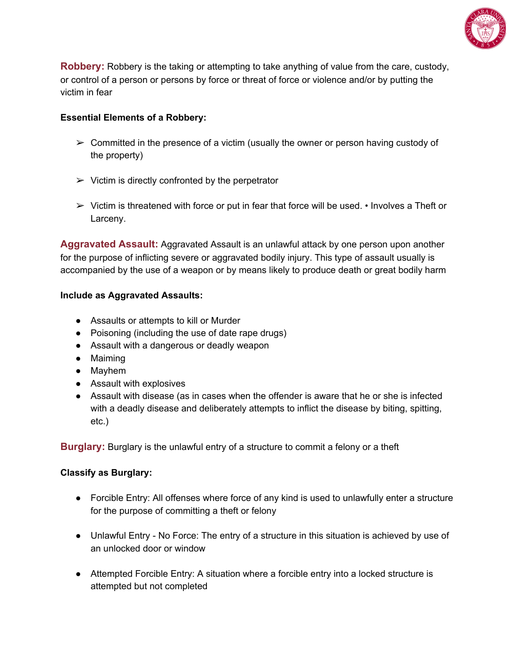

**Robbery:** Robbery is the taking or attempting to take anything of value from the care, custody, or control of a person or persons by force or threat of force or violence and/or by putting the victim in fear

## **Essential Elements of a Robbery:**

- $\triangleright$  Committed in the presence of a victim (usually the owner or person having custody of the property)
- $\triangleright$  Victim is directly confronted by the perpetrator
- $\triangleright$  Victim is threatened with force or put in fear that force will be used.  $\cdot$  Involves a Theft or Larceny.

**Aggravated Assault:** Aggravated Assault is an unlawful attack by one person upon another for the purpose of inflicting severe or aggravated bodily injury. This type of assault usually is accompanied by the use of a weapon or by means likely to produce death or great bodily harm

#### **Include as Aggravated Assaults:**

- Assaults or attempts to kill or Murder
- Poisoning (including the use of date rape drugs)
- Assault with a dangerous or deadly weapon
- Maiming
- Mayhem
- Assault with explosives
- Assault with disease (as in cases when the offender is aware that he or she is infected with a deadly disease and deliberately attempts to inflict the disease by biting, spitting, etc.)

**Burglary:** Burglary is the unlawful entry of a structure to commit a felony or a theft

#### **Classify as Burglary:**

- Forcible Entry: All offenses where force of any kind is used to unlawfully enter a structure for the purpose of committing a theft or felony
- Unlawful Entry No Force: The entry of a structure in this situation is achieved by use of an unlocked door or window
- Attempted Forcible Entry: A situation where a forcible entry into a locked structure is attempted but not completed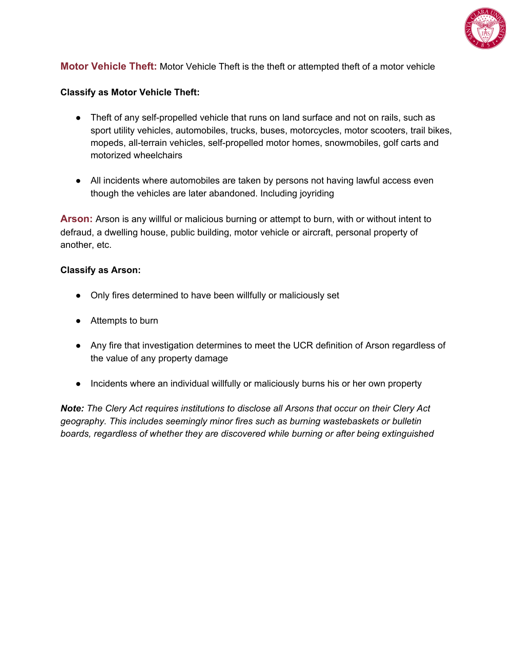

## **Motor Vehicle Theft:** Motor Vehicle Theft is the theft or attempted theft of a motor vehicle

#### **Classify as Motor Vehicle Theft:**

- Theft of any self-propelled vehicle that runs on land surface and not on rails, such as sport utility vehicles, automobiles, trucks, buses, motorcycles, motor scooters, trail bikes, mopeds, all-terrain vehicles, self-propelled motor homes, snowmobiles, golf carts and motorized wheelchairs
- All incidents where automobiles are taken by persons not having lawful access even though the vehicles are later abandoned. Including joyriding

**Arson:** Arson is any willful or malicious burning or attempt to burn, with or without intent to defraud, a dwelling house, public building, motor vehicle or aircraft, personal property of another, etc.

#### **Classify as Arson:**

- Only fires determined to have been willfully or maliciously set
- Attempts to burn
- Any fire that investigation determines to meet the UCR definition of Arson regardless of the value of any property damage
- Incidents where an individual willfully or maliciously burns his or her own property

*Note: The Clery Act requires institutions to disclose all Arsons that occur on their Clery Act geography. This includes seemingly minor fires such as burning wastebaskets or bulletin boards, regardless of whether they are discovered while burning or after being extinguished*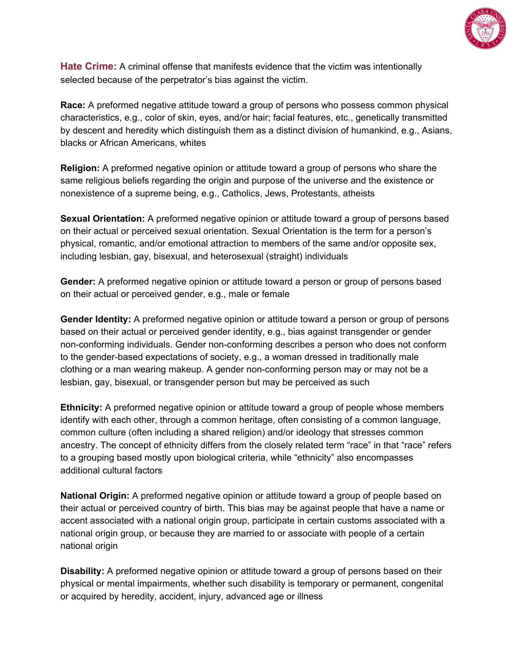

**Hate Crime:** A criminal offense that manifests evidence that the victim was intentionally selected because of the perpetrator's bias against the victim.

**Race:** A preformed negative attitude toward a group of persons who possess common physical characteristics, e.g., color of skin, eyes, and/or hair; facial features, etc., genetically transmitted by descent and heredity which distinguish them as a distinct division of humankind, e.g., Asians, blacks or African Americans, whites

**Religion:** A preformed negative opinion or attitude toward a group of persons who share the same religious beliefs regarding the origin and purpose of the universe and the existence or nonexistence of a supreme being, e.g., Catholics, Jews, Protestants, atheists

**Sexual Orientation:** A preformed negative opinion or attitude toward a group of persons based on their actual or perceived sexual orientation. Sexual Orientation is the term for a person's physical, romantic, and/or emotional attraction to members of the same and/or opposite sex, including lesbian, gay, bisexual, and heterosexual (straight) individuals

**Gender:** A preformed negative opinion or attitude toward a person or group of persons based on their actual or perceived gender, e.g., male or female

**Gender Identity:** A preformed negative opinion or attitude toward a person or group of persons based on their actual or perceived gender identity, e.g., bias against transgender or gender non-conforming individuals. Gender non-conforming describes a person who does not conform to the gender-based expectations of society, e.g., a woman dressed in traditionally male clothing or a man wearing makeup. A gender non-conforming person may or may not be a lesbian, gay, bisexual, or transgender person but may be perceived as such

**Ethnicity:** A preformed negative opinion or attitude toward a group of people whose members identify with each other, through a common heritage, often consisting of a common language, common culture (often including a shared religion) and/or ideology that stresses common ancestry. The concept of ethnicity differs from the closely related term "race" in that "race" refers to a grouping based mostly upon biological criteria, while "ethnicity" also encompasses additional cultural factors

**National Origin:** A preformed negative opinion or attitude toward a group of people based on their actual or perceived country of birth. This bias may be against people that have a name or accent associated with a national origin group, participate in certain customs associated with a national origin group, or because they are married to or associate with people of a certain national origin

**Disability:** A preformed negative opinion or attitude toward a group of persons based on their physical or mental impairments, whether such disability is temporary or permanent, congenital or acquired by heredity, accident, injury, advanced age or illness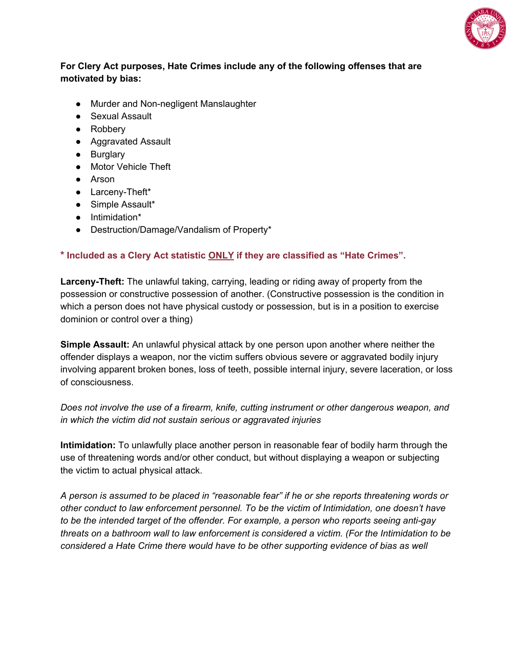

## **For Clery Act purposes, Hate Crimes include any of the following offenses that are motivated by bias:**

- Murder and Non-negligent Manslaughter
- Sexual Assault
- Robbery
- Aggravated Assault
- Burglary
- Motor Vehicle Theft
- Arson
- Larceny-Theft\*
- Simple Assault\*
- Intimidation\*
- Destruction/Damage/Vandalism of Property\*

## **\* Included as a Clery Act statistic ONLY if they are classified as "Hate Crimes".**

**Larceny-Theft:** The unlawful taking, carrying, leading or riding away of property from the possession or constructive possession of another. (Constructive possession is the condition in which a person does not have physical custody or possession, but is in a position to exercise dominion or control over a thing)

**Simple Assault:** An unlawful physical attack by one person upon another where neither the offender displays a weapon, nor the victim suffers obvious severe or aggravated bodily injury involving apparent broken bones, loss of teeth, possible internal injury, severe laceration, or loss of consciousness.

*Does not involve the use of a firearm, knife, cutting instrument or other dangerous weapon, and in which the victim did not sustain serious or aggravated injuries*

**Intimidation:** To unlawfully place another person in reasonable fear of bodily harm through the use of threatening words and/or other conduct, but without displaying a weapon or subjecting the victim to actual physical attack.

*A person is assumed to be placed in "reasonable fear" if he or she reports threatening words or other conduct to law enforcement personnel. To be the victim of Intimidation, one doesn't have to be the intended target of the offender. For example, a person who reports seeing anti-gay threats on a bathroom wall to law enforcement is considered a victim. (For the Intimidation to be considered a Hate Crime there would have to be other supporting evidence of bias as well*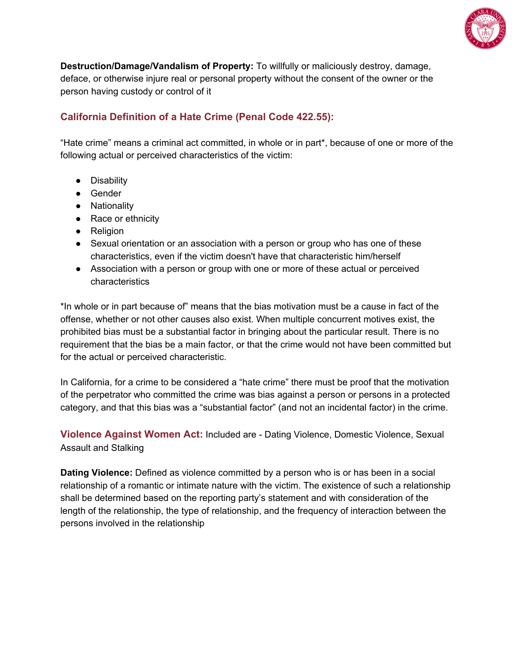

**Destruction/Damage/Vandalism of Property:** To willfully or maliciously destroy, damage, deface, or otherwise injure real or personal property without the consent of the owner or the person having custody or control of it

## **California Definition of a Hate Crime (Penal Code 422.55):**

"Hate crime" means a criminal act committed, in whole or in part\*, because of one or more of the following actual or perceived characteristics of the victim:

- Disability
- Gender
- Nationality
- Race or ethnicity
- Religion
- Sexual orientation or an association with a person or group who has one of these characteristics, even if the victim doesn't have that characteristic him/herself
- Association with a person or group with one or more of these actual or perceived characteristics

\*In whole or in part because of" means that the bias motivation must be a cause in fact of the offense, whether or not other causes also exist. When multiple concurrent motives exist, the prohibited bias must be a substantial factor in bringing about the particular result. There is no requirement that the bias be a main factor, or that the crime would not have been committed but for the actual or perceived characteristic.

In California, for a crime to be considered a "hate crime" there must be proof that the motivation of the perpetrator who committed the crime was bias against a person or persons in a protected category, and that this bias was a "substantial factor" (and not an incidental factor) in the crime.

**Violence Against Women Act:** Included are - Dating Violence, Domestic Violence, Sexual Assault and Stalking

**Dating Violence:** Defined as violence committed by a person who is or has been in a social relationship of a romantic or intimate nature with the victim. The existence of such a relationship shall be determined based on the reporting party's statement and with consideration of the length of the relationship, the type of relationship, and the frequency of interaction between the persons involved in the relationship